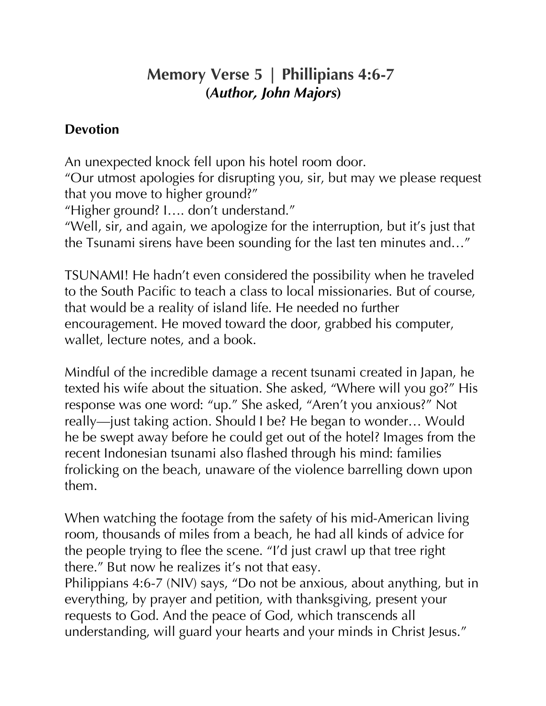## **Memory Verse 5 | Phillipians 4:6-7 (***Author, John Majors***)**

## **Devotion**

An unexpected knock fell upon his hotel room door. "Our utmost apologies for disrupting you, sir, but may we please request that you move to higher ground?" "Higher ground? I…. don't understand." "Well, sir, and again, we apologize for the interruption, but it's just that the Tsunami sirens have been sounding for the last ten minutes and…"

TSUNAMI! He hadn't even considered the possibility when he traveled to the South Pacific to teach a class to local missionaries. But of course, that would be a reality of island life. He needed no further encouragement. He moved toward the door, grabbed his computer, wallet, lecture notes, and a book.

Mindful of the incredible damage a recent tsunami created in Japan, he texted his wife about the situation. She asked, "Where will you go?" His response was one word: "up." She asked, "Aren't you anxious?" Not really—just taking action. Should I be? He began to wonder… Would he be swept away before he could get out of the hotel? Images from the recent Indonesian tsunami also flashed through his mind: families frolicking on the beach, unaware of the violence barrelling down upon them.

When watching the footage from the safety of his mid-American living room, thousands of miles from a beach, he had all kinds of advice for the people trying to flee the scene. "I'd just crawl up that tree right there." But now he realizes it's not that easy.

Philippians 4:6-7 (NIV) says, "Do not be anxious, about anything, but in everything, by prayer and petition, with thanksgiving, present your requests to God. And the peace of God, which transcends all understanding, will guard your hearts and your minds in Christ Jesus."